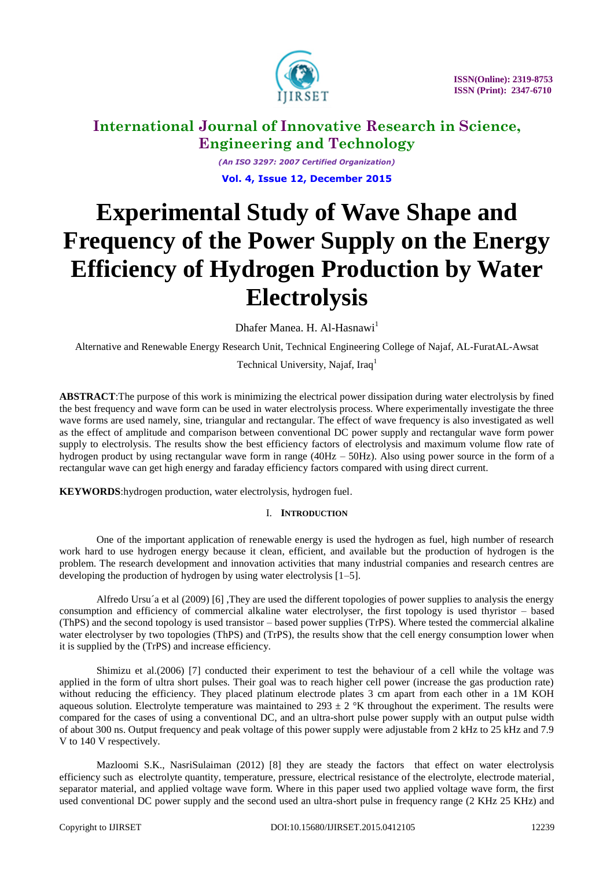

*(An ISO 3297: 2007 Certified Organization)* **Vol. 4, Issue 12, December 2015**

# **Experimental Study of Wave Shape and Frequency of the Power Supply on the Energy Efficiency of Hydrogen Production by Water Electrolysis**

Dhafer Manea. H. Al-Hasnawi<sup>1</sup>

Alternative and Renewable Energy Research Unit, Technical Engineering College of Najaf, AL-FuratAL-Awsat

Technical University, Najaf, Iraq<sup>1</sup>

**ABSTRACT**:The purpose of this work is minimizing the electrical power dissipation during water electrolysis by fined the best frequency and wave form can be used in water electrolysis process. Where experimentally investigate the three wave forms are used namely, sine, triangular and rectangular. The effect of wave frequency is also investigated as well as the effect of amplitude and comparison between conventional DC power supply and rectangular wave form power supply to electrolysis. The results show the best efficiency factors of electrolysis and maximum volume flow rate of hydrogen product by using rectangular wave form in range (40Hz – 50Hz). Also using power source in the form of a rectangular wave can get high energy and faraday efficiency factors compared with using direct current.

**KEYWORDS**:hydrogen production, water electrolysis, hydrogen fuel.

# I. **INTRODUCTION**

One of the important application of renewable energy is used the hydrogen as fuel, high number of research work hard to use hydrogen energy because it clean, efficient, and available but the production of hydrogen is the problem. The research development and innovation activities that many industrial companies and research centres are developing the production of hydrogen by using water electrolysis [1–5].

Alfredo Ursu´a et al (2009) [6] ,They are used the different topologies of power supplies to analysis the energy consumption and efficiency of commercial alkaline water electrolyser, the first topology is used thyristor – based (ThPS) and the second topology is used transistor – based power supplies (TrPS). Where tested the commercial alkaline water electrolyser by two topologies (ThPS) and (TrPS), the results show that the cell energy consumption lower when it is supplied by the (TrPS) and increase efficiency.

Shimizu et al.(2006) [7] conducted their experiment to test the behaviour of a cell while the voltage was applied in the form of ultra short pulses. Their goal was to reach higher cell power (increase the gas production rate) without reducing the efficiency. They placed platinum electrode plates 3 cm apart from each other in a 1M KOH aqueous solution. Electrolyte temperature was maintained to  $293 \pm 2$  °K throughout the experiment. The results were compared for the cases of using a conventional DC, and an ultra-short pulse power supply with an output pulse width of about 300 ns. Output frequency and peak voltage of this power supply were adjustable from 2 kHz to 25 kHz and 7.9 V to 140 V respectively.

Mazloomi S.K., NasriSulaiman (2012) [8] they are steady the factors that effect on water electrolysis efficiency such as electrolyte quantity, temperature, pressure, electrical resistance of the electrolyte, electrode material, separator material, and applied voltage wave form. Where in this paper used two applied voltage wave form, the first used conventional DC power supply and the second used an ultra-short pulse in frequency range (2 KHz 25 KHz) and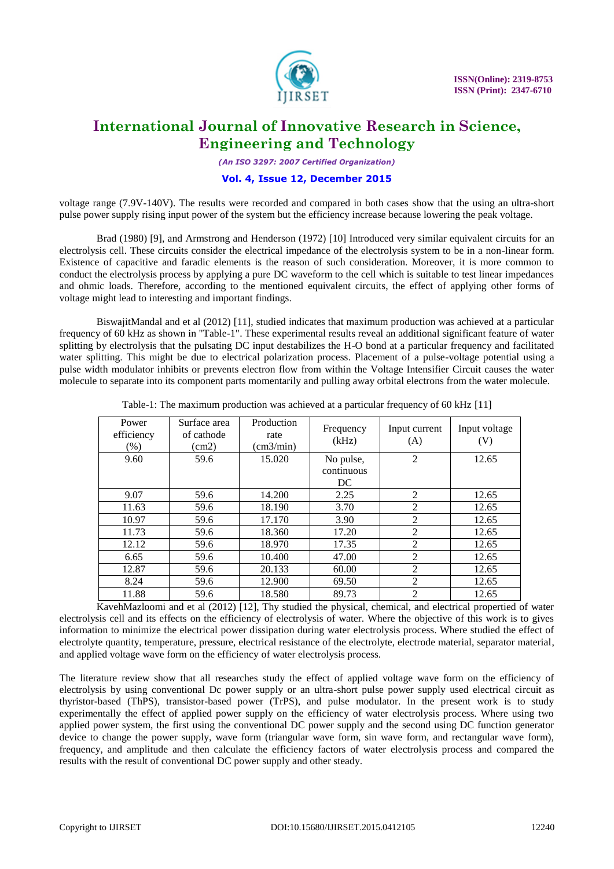

*(An ISO 3297: 2007 Certified Organization)*

### **Vol. 4, Issue 12, December 2015**

voltage range (7.9V-140V). The results were recorded and compared in both cases show that the using an ultra-short pulse power supply rising input power of the system but the efficiency increase because lowering the peak voltage.

Brad (1980) [9], and Armstrong and Henderson (1972) [10] Introduced very similar equivalent circuits for an electrolysis cell. These circuits consider the electrical impedance of the electrolysis system to be in a non-linear form. Existence of capacitive and faradic elements is the reason of such consideration. Moreover, it is more common to conduct the electrolysis process by applying a pure DC waveform to the cell which is suitable to test linear impedances and ohmic loads. Therefore, according to the mentioned equivalent circuits, the effect of applying other forms of voltage might lead to interesting and important findings.

BiswajitMandal and et al (2012) [11], studied indicates that maximum production was achieved at a particular frequency of 60 kHz as shown in "Table-1". These experimental results reveal an additional significant feature of water splitting by electrolysis that the pulsating DC input destabilizes the H-O bond at a particular frequency and facilitated water splitting. This might be due to electrical polarization process. Placement of a pulse-voltage potential using a pulse width modulator inhibits or prevents electron flow from within the Voltage Intensifier Circuit causes the water molecule to separate into its component parts momentarily and pulling away orbital electrons from the water molecule.

| Power<br>efficiency<br>$(\%)$ | Surface area<br>of cathode<br>(cm2) | Production<br>rate<br>$\text{(cm3/min)}$ | Frequency<br>(kHz)            | Input current<br>(A) | Input voltage<br>(V) |
|-------------------------------|-------------------------------------|------------------------------------------|-------------------------------|----------------------|----------------------|
| 9.60                          | 59.6                                | 15.020                                   | No pulse,<br>continuous<br>DC | 2                    | 12.65                |
| 9.07                          | 59.6                                | 14.200                                   | 2.25                          | 2                    | 12.65                |
| 11.63                         | 59.6                                | 18.190                                   | 3.70                          | $\overline{2}$       | 12.65                |
| 10.97                         | 59.6                                | 17.170                                   | 3.90                          | 2                    | 12.65                |
| 11.73                         | 59.6                                | 18.360                                   | 17.20                         | $\overline{2}$       | 12.65                |
| 12.12                         | 59.6                                | 18.970                                   | 17.35                         | 2                    | 12.65                |
| 6.65                          | 59.6                                | 10.400                                   | 47.00                         | $\overline{2}$       | 12.65                |
| 12.87                         | 59.6                                | 20.133                                   | 60.00                         | $\overline{2}$       | 12.65                |
| 8.24                          | 59.6                                | 12.900                                   | 69.50                         | $\overline{2}$       | 12.65                |
| 11.88                         | 59.6                                | 18.580                                   | 89.73                         | 2                    | 12.65                |

Table-1: The maximum production was achieved at a particular frequency of 60 kHz [11]

KavehMazloomi and et al (2012) [12], Thy studied the physical, chemical, and electrical propertied of water electrolysis cell and its effects on the efficiency of electrolysis of water. Where the objective of this work is to gives information to minimize the electrical power dissipation during water electrolysis process. Where studied the effect of electrolyte quantity, temperature, pressure, electrical resistance of the electrolyte, electrode material, separator material, and applied voltage wave form on the efficiency of water electrolysis process.

The literature review show that all researches study the effect of applied voltage wave form on the efficiency of electrolysis by using conventional Dc power supply or an ultra-short pulse power supply used electrical circuit as thyristor-based (ThPS), transistor-based power (TrPS), and pulse modulator. In the present work is to study experimentally the effect of applied power supply on the efficiency of water electrolysis process. Where using two applied power system, the first using the conventional DC power supply and the second using DC function generator device to change the power supply, wave form (triangular wave form, sin wave form, and rectangular wave form), frequency, and amplitude and then calculate the efficiency factors of water electrolysis process and compared the results with the result of conventional DC power supply and other steady.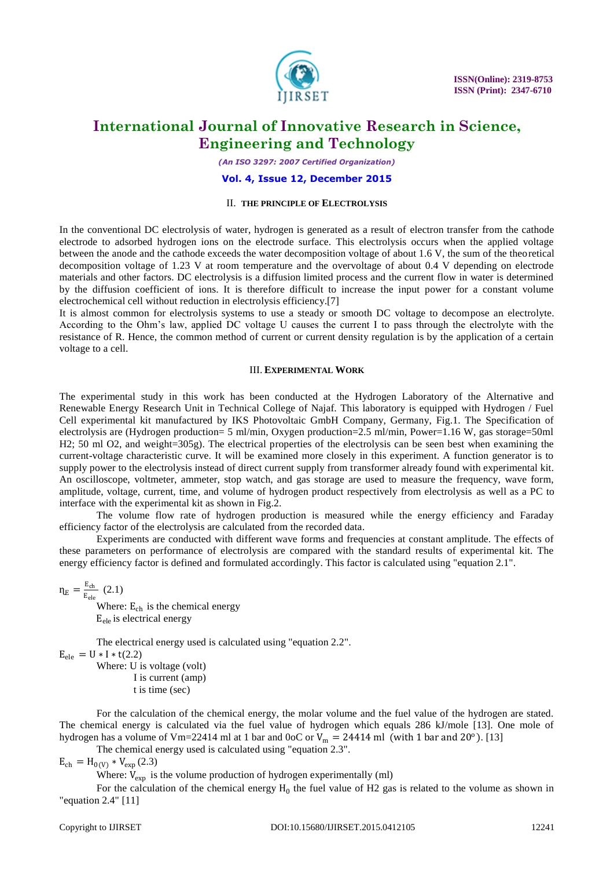

*(An ISO 3297: 2007 Certified Organization)*

### **Vol. 4, Issue 12, December 2015**

### II. **THE PRINCIPLE OF ELECTROLYSIS**

In the conventional DC electrolysis of water, hydrogen is generated as a result of electron transfer from the cathode electrode to adsorbed hydrogen ions on the electrode surface. This electrolysis occurs when the applied voltage between the anode and the cathode exceeds the water decomposition voltage of about 1.6 V, the sum of the theoretical decomposition voltage of 1.23 V at room temperature and the overvoltage of about 0.4 V depending on electrode materials and other factors. DC electrolysis is a diffusion limited process and the current flow in water is determined by the diffusion coefficient of ions. It is therefore difficult to increase the input power for a constant volume electrochemical cell without reduction in electrolysis efficiency.[7]

It is almost common for electrolysis systems to use a steady or smooth DC voltage to decompose an electrolyte. According to the Ohm's law, applied DC voltage U causes the current I to pass through the electrolyte with the resistance of R. Hence, the common method of current or current density regulation is by the application of a certain voltage to a cell.

### III. **EXPERIMENTAL WORK**

The experimental study in this work has been conducted at the Hydrogen Laboratory of the Alternative and Renewable Energy Research Unit in Technical College of Najaf. This laboratory is equipped with Hydrogen / Fuel Cell experimental kit manufactured by IKS Photovoltaic GmbH Company, Germany, Fig.1. The Specification of electrolysis are (Hydrogen production= 5 ml/min, Oxygen production=2.5 ml/min, Power=1.16 W, gas storage=50ml H2; 50 ml O2, and weight=305g). The electrical properties of the electrolysis can be seen best when examining the current-voltage characteristic curve. It will be examined more closely in this experiment. A function generator is to supply power to the electrolysis instead of direct current supply from transformer already found with experimental kit. An oscilloscope, voltmeter, ammeter, stop watch, and gas storage are used to measure the frequency, wave form, amplitude, voltage, current, time, and volume of hydrogen product respectively from electrolysis as well as a PC to interface with the experimental kit as shown in Fig.2.

The volume flow rate of hydrogen production is measured while the energy efficiency and Faraday efficiency factor of the electrolysis are calculated from the recorded data.

Experiments are conducted with different wave forms and frequencies at constant amplitude. The effects of these parameters on performance of electrolysis are compared with the standard results of experimental kit. The energy efficiency factor is defined and formulated accordingly. This factor is calculated using "equation 2.1".

 $\eta_{\text{E}} = \frac{\text{E}_{\text{ch}}}{\text{E}_{\text{H}}}$  $\frac{E_{ch}}{E_{ele}}$  (2.1)

> Where:  $E_{ch}$  is the chemical energy E<sub>ele</sub> is electrical energy

The electrical energy used is calculated using "equation 2.2".  $E_{\text{ele}} = U * I * t(2.2)$ 

Where: U is voltage (volt) I is current (amp) t is time (sec)

For the calculation of the chemical energy, the molar volume and the fuel value of the hydrogen are stated. The chemical energy is calculated via the fuel value of hydrogen which equals 286 kJ/mole [13]. One mole of hydrogen has a volume of Vm=22414 ml at 1 bar and 0oC or  $V_m = 24414$  ml (with 1 bar and 20<sup>o</sup>). [13]

The chemical energy used is calculated using "equation 2.3".

 $E_{ch} = H_{0(V)} * V_{exp}(2.3)$ 

Where:  $V_{\text{exp}}$  is the volume production of hydrogen experimentally (ml)

For the calculation of the chemical energy  $H_0$  the fuel value of H2 gas is related to the volume as shown in "equation 2.4" [11]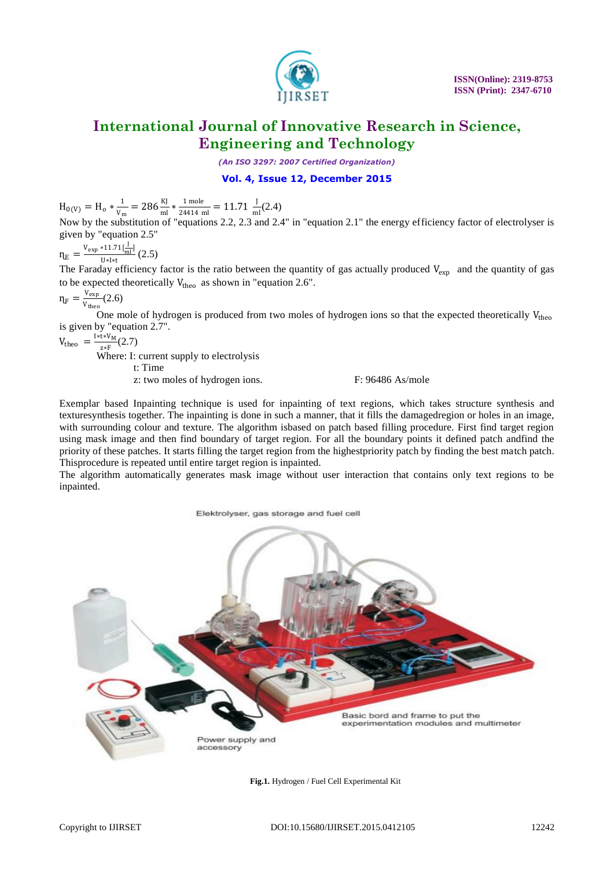

*(An ISO 3297: 2007 Certified Organization)*

## **Vol. 4, Issue 12, December 2015**

 $H_{0(V)} = H_0 * \frac{1}{V}$  $\frac{1}{v_m} = 286 \frac{\text{KJ}}{\text{ml}} * \frac{1 \text{ mole}}{24414 \text{ m}}$  $\frac{1 \text{ mole}}{24414 \text{ ml}}$  = 11.71  $\frac{J}{ml}$ (2.4)

Now by the substitution of "equations 2.2, 2.3 and 2.4" in "equation 2.1" the energy efficiency factor of electrolyser is given by "equation 2.5"

$$
\eta_E = \frac{v_{\text{exp}} * 11.71\left[\frac{J}{m1}\right]}{U * I * t} (2.5)
$$

The Faraday efficiency factor is the ratio between the quantity of gas actually produced  $V_{\text{exp}}$  and the quantity of gas to be expected theoretically  $V_{theo}$  as shown in "equation 2.6".

$$
\eta_F = \frac{v_{exp}}{v_{theo}}(2.6)
$$

One mole of hydrogen is produced from two moles of hydrogen ions so that the expected theoretically  $V_{\text{theo}}$ is given by "equation 2.7".

$$
V_{\text{theo}} = \frac{I * t * V_M}{7 * F}(2.7)
$$

 $\overline{z}^{*F}$   $\overline{z}^{**}$   $\overline{z}$   $\overline{w}$   $\overline{z}$   $\overline{w}$   $\overline{z}$   $\overline{w}$   $\overline{z}$   $\overline{w}$   $\overline{w}$   $\overline{w}$   $\overline{w}$   $\overline{w}$   $\overline{w}$   $\overline{w}$   $\overline{w}$   $\overline{w}$   $\overline{w}$   $\overline{w}$   $\overline{w}$   $\overline{w}$   $\overline{w}$   $\overline{w}$ 

t: Time

z: two moles of hydrogen ions. F: 96486 As/mole

Exemplar based Inpainting technique is used for inpainting of text regions, which takes structure synthesis and texturesynthesis together. The inpainting is done in such a manner, that it fills the damagedregion or holes in an image, with surrounding colour and texture. The algorithm isbased on patch based filling procedure. First find target region using mask image and then find boundary of target region. For all the boundary points it defined patch andfind the priority of these patches. It starts filling the target region from the highestpriority patch by finding the best match patch. Thisprocedure is repeated until entire target region is inpainted.

The algorithm automatically generates mask image without user interaction that contains only text regions to be inpainted.

Elektrolyser, gas storage and fuel cell



**Fig.1.** Hydrogen / Fuel Cell Experimental Kit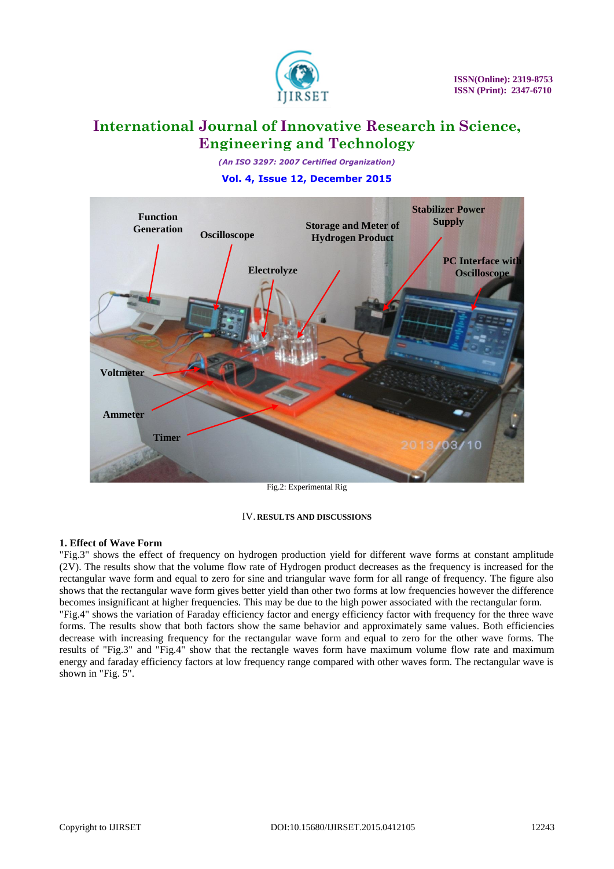

*(An ISO 3297: 2007 Certified Organization)*

## **Vol. 4, Issue 12, December 2015**



Fig.2: Experimental Rig

### IV. **RESULTS AND DISCUSSIONS**

### **1. Effect of Wave Form**

"Fig.3" shows the effect of frequency on hydrogen production yield for different wave forms at constant amplitude (2V). The results show that the volume flow rate of Hydrogen product decreases as the frequency is increased for the rectangular wave form and equal to zero for sine and triangular wave form for all range of frequency. The figure also shows that the rectangular wave form gives better yield than other two forms at low frequencies however the difference becomes insignificant at higher frequencies. This may be due to the high power associated with the rectangular form. "Fig.4" shows the variation of Faraday efficiency factor and energy efficiency factor with frequency for the three wave forms. The results show that both factors show the same behavior and approximately same values. Both efficiencies decrease with increasing frequency for the rectangular wave form and equal to zero for the other wave forms. The results of "Fig.3" and "Fig.4" show that the rectangle waves form have maximum volume flow rate and maximum energy and faraday efficiency factors at low frequency range compared with other waves form. The rectangular wave is shown in "Fig. 5".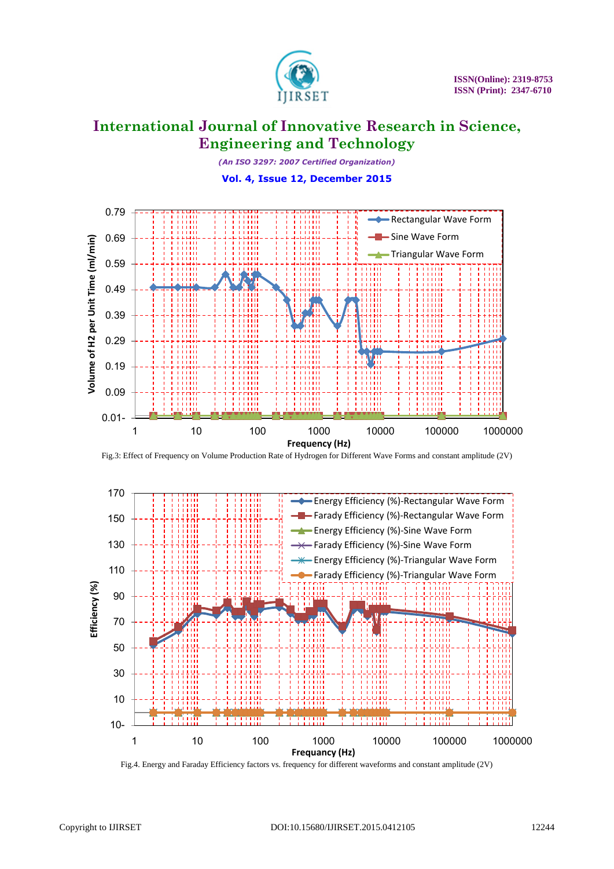

*(An ISO 3297: 2007 Certified Organization)*

# **Vol. 4, Issue 12, December 2015**



Fig.3: Effect of Frequency on Volume Production Rate of Hydrogen for Different Wave Forms and constant amplitude (2V)



Fig.4. Energy and Faraday Efficiency factors vs. frequency for different waveforms and constant amplitude (2V)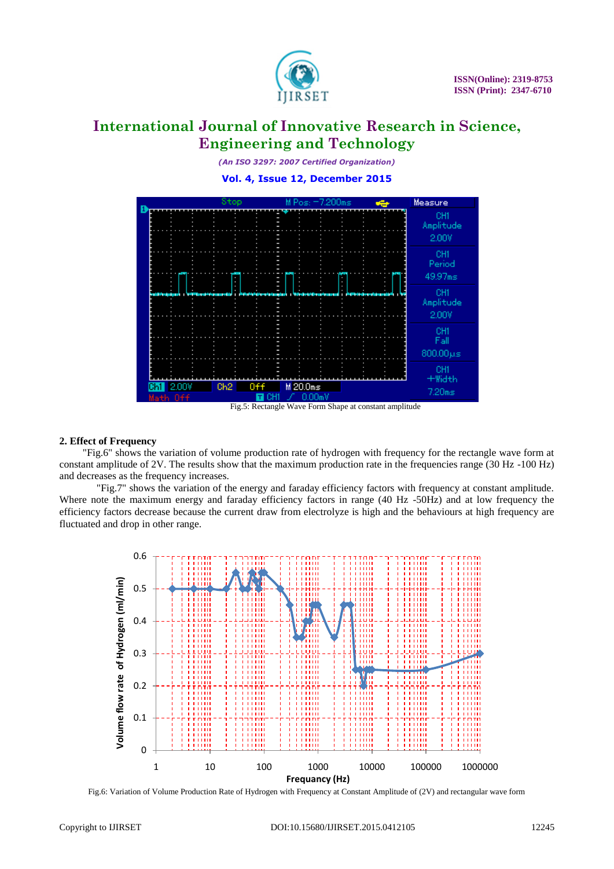

*(An ISO 3297: 2007 Certified Organization)*

**Vol. 4, Issue 12, December 2015**



Fig.5: Rectangle Wave Form Shape at constant amplitude

### **2. Effect of Frequency**

 "Fig.6" shows the variation of volume production rate of hydrogen with frequency for the rectangle wave form at constant amplitude of 2V. The results show that the maximum production rate in the frequencies range (30 Hz -100 Hz) and decreases as the frequency increases.

"Fig.7" shows the variation of the energy and faraday efficiency factors with frequency at constant amplitude. Where note the maximum energy and faraday efficiency factors in range (40 Hz -50Hz) and at low frequency the efficiency factors decrease because the current draw from electrolyze is high and the behaviours at high frequency are fluctuated and drop in other range.



Fig.6: Variation of Volume Production Rate of Hydrogen with Frequency at Constant Amplitude of (2V) and rectangular wave form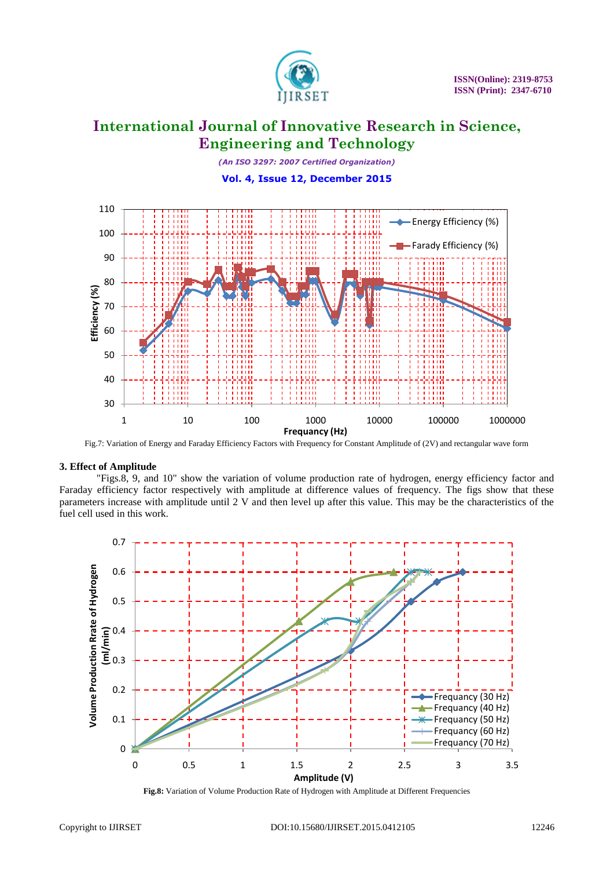

*(An ISO 3297: 2007 Certified Organization)* **Vol. 4, Issue 12, December 2015**



Fig.7: Variation of Energy and Faraday Efficiency Factors with Frequency for Constant Amplitude of (2V) and rectangular wave form

### **3. Effect of Amplitude**

"Figs.8, 9, and 10" show the variation of volume production rate of hydrogen, energy efficiency factor and Faraday efficiency factor respectively with amplitude at difference values of frequency. The figs show that these parameters increase with amplitude until 2 V and then level up after this value. This may be the characteristics of the fuel cell used in this work.



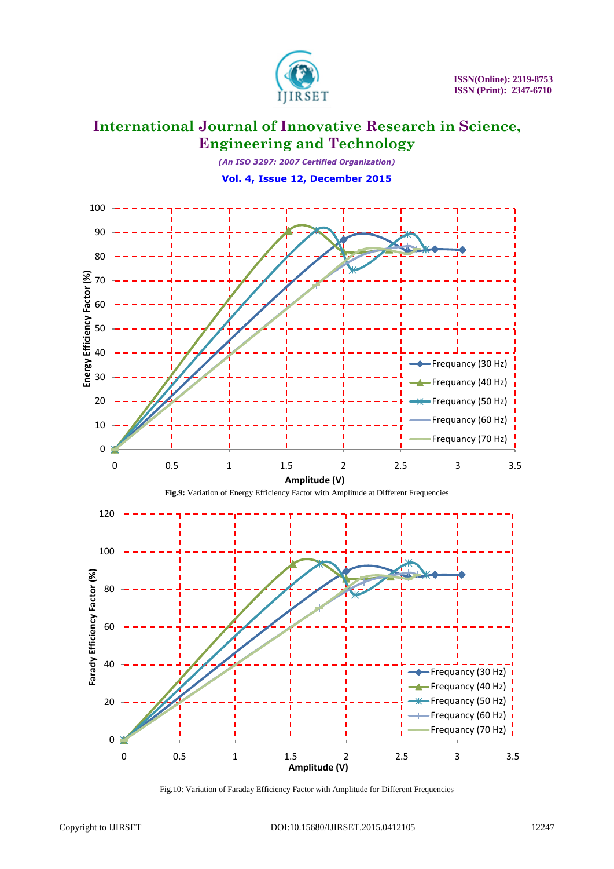

*(An ISO 3297: 2007 Certified Organization)*

**Vol. 4, Issue 12, December 2015**



Fig.10: Variation of Faraday Efficiency Factor with Amplitude for Different Frequencies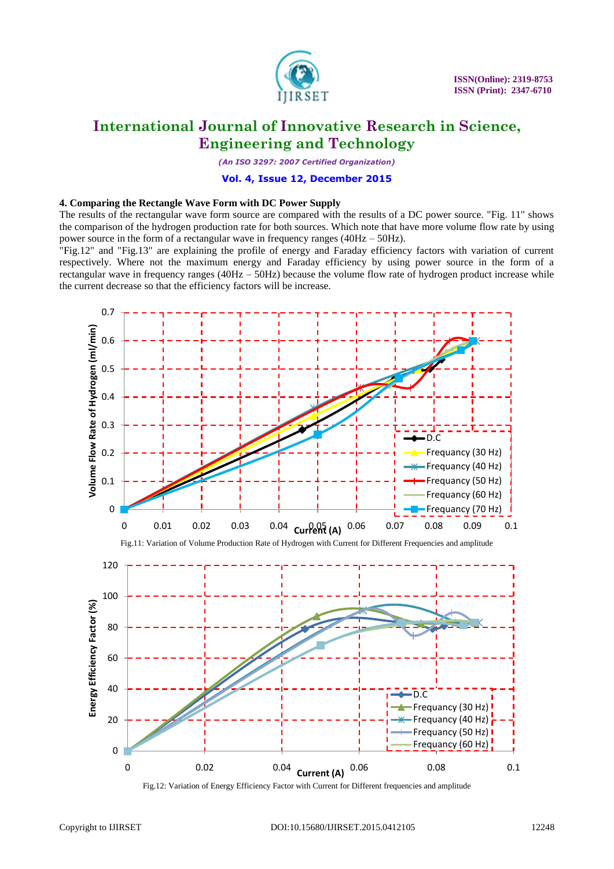

*(An ISO 3297: 2007 Certified Organization)*

### **Vol. 4, Issue 12, December 2015**

### **4. Comparing the Rectangle Wave Form with DC Power Supply**

The results of the rectangular wave form source are compared with the results of a DC power source. "Fig. 11" shows the comparison of the hydrogen production rate for both sources. Which note that have more volume flow rate by using power source in the form of a rectangular wave in frequency ranges (40Hz – 50Hz).

"Fig.12" and "Fig.13" are explaining the profile of energy and Faraday efficiency factors with variation of current respectively. Where not the maximum energy and Faraday efficiency by using power source in the form of a rectangular wave in frequency ranges (40Hz – 50Hz) because the volume flow rate of hydrogen product increase while the current decrease so that the efficiency factors will be increase.

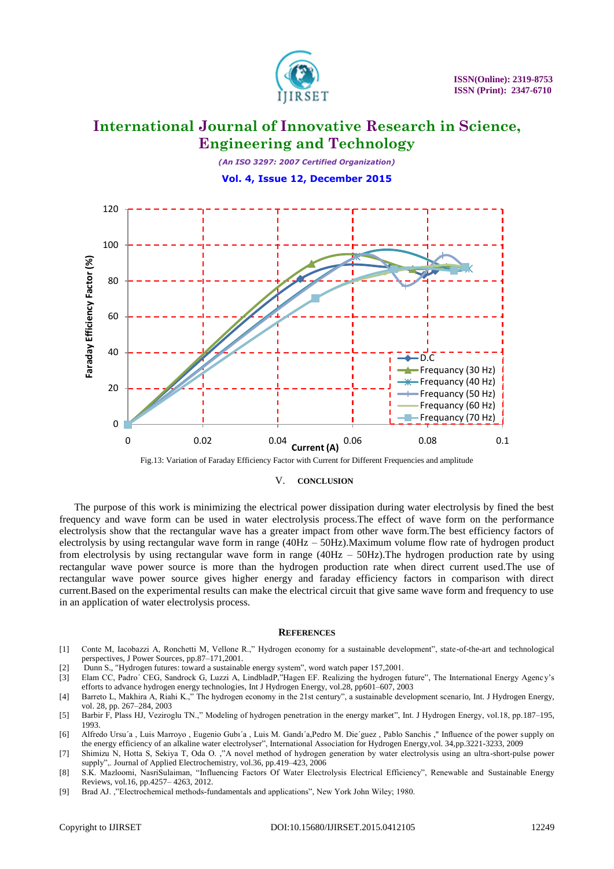

*(An ISO 3297: 2007 Certified Organization)*

**Vol. 4, Issue 12, December 2015**





### V. **CONCLUSION**

The purpose of this work is minimizing the electrical power dissipation during water electrolysis by fined the best frequency and wave form can be used in water electrolysis process.The effect of wave form on the performance electrolysis show that the rectangular wave has a greater impact from other wave form.The best efficiency factors of electrolysis by using rectangular wave form in range (40Hz – 50Hz).Maximum volume flow rate of hydrogen product from electrolysis by using rectangular wave form in range (40Hz – 50Hz).The hydrogen production rate by using rectangular wave power source is more than the hydrogen production rate when direct current used.The use of rectangular wave power source gives higher energy and faraday efficiency factors in comparison with direct current.Based on the experimental results can make the electrical circuit that give same wave form and frequency to use in an application of water electrolysis process.

#### **REFERENCES**

- [1] Conte M, Iacobazzi A, Ronchetti M, Vellone R.," Hydrogen economy for a sustainable development", state-of-the-art and technological perspectives, J Power Sources, pp.87–171,2001.
- [2] Dunn S., "Hydrogen futures: toward a sustainable energy system", word watch paper 157,2001.
- [3] Elam CC, Padro´ CEG, Sandrock G, Luzzi A, LindbladP,"Hagen EF. Realizing the hydrogen future", The International Energy Agency's efforts to advance hydrogen energy technologies, Int J Hydrogen Energy, vol.28, pp601–607, 2003
- [4] Barreto L, Makhira A, Riahi K.," The hydrogen economy in the 21st century", a sustainable development scenario, Int. J Hydrogen Energy, vol. 28, pp. 267–284, 2003
- [5] Barbir F, Plass HJ, Veziroglu TN.," Modeling of hydrogen penetration in the energy market", Int. J Hydrogen Energy, vol.18, pp.187–195, 1993.
- [6] Alfredo Ursu´a , Luis Marroyo , Eugenio Gubı´a , Luis M. Gandı´a,Pedro M. Die´guez , Pablo Sanchis ," Influence of the power supply on the energy efficiency of an alkaline water electrolyser", International Association for Hydrogen Energy,vol. 34,pp.3221-3233, 2009
- [7] Shimizu N, Hotta S, Sekiya T, Oda O. ,"A novel method of hydrogen generation by water electrolysis using an ultra-short-pulse power supply",. Journal of Applied Electrochemistry, vol.36, pp.419–423, 2006
- [8] S.K. Mazloomi, NasriSulaiman, "Influencing Factors Of Water Electrolysis Electrical Efficiency", Renewable and Sustainable Energy Reviews, vol.16, pp.4257– 4263, 2012.
- [9] Brad AJ. ,"Electrochemical methods-fundamentals and applications", New York John Wiley; 1980.